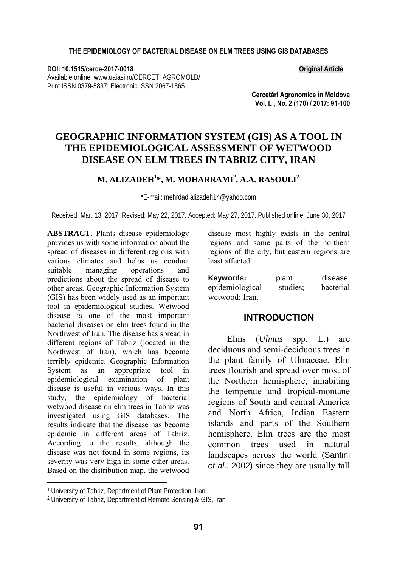**DOI: 10.1515/cerce-2017-0018 Original Article**  Available online: www.uaiasi.ro/CERCET\_AGROMOLD/ Print ISSN 0379-5837; Electronic ISSN 2067-1865

**Cercetări Agronomice în Moldova Vol. L , No. 2 (170) / 2017: 91-100**

# **GEOGRAPHIC INFORMATION SYSTEM (GIS) AS A TOOL IN THE EPIDEMIOLOGICAL ASSESSMENT OF WETWOOD DISEASE ON ELM TREES IN TABRIZ CITY, IRAN**

## **M. ALIZADEH<sup>1</sup> \*, M. MOHARRAMI2 , A.A. RASOULI<sup>2</sup>**

\*E-mail: mehrdad.alizadeh14@yahoo.com

Received: Mar. 13, 2017. Revised: May 22, 2017. Accepted: May 27, 2017. Published online: June 30, 2017

**ABSTRACT.** Plants disease epidemiology provides us with some information about the spread of diseases in different regions with various climates and helps us conduct suitable managing operations and predictions about the spread of disease to other areas. Geographic Information System (GIS) has been widely used as an important tool in epidemiological studies. Wetwood disease is one of the most important bacterial diseases on elm trees found in the Northwest of Iran. The disease has spread in different regions of Tabriz (located in the Northwest of Iran), which has become terribly epidemic. Geographic Information System as an appropriate tool in epidemiological examination of plant disease is useful in various ways. In this study, the epidemiology of bacterial wetwood disease on elm trees in Tabriz was investigated using GIS databases. The results indicate that the disease has become epidemic in different areas of Tabriz. According to the results, although the disease was not found in some regions, its severity was very high in some other areas. Based on the distribution map, the wetwood

disease most highly exists in the central regions and some parts of the northern regions of the city, but eastern regions are least affected.

| Kevwords:       | plant    | disease;  |
|-----------------|----------|-----------|
| epidemiological | studies: | bacterial |
| wetwood; Iran.  |          |           |

## **INTRODUCTION**

Elms (*Ulmus* spp. L.) are deciduous and semi-deciduous trees in the plant family of Ulmaceae. Elm trees flourish and spread over most of the Northern hemisphere, inhabiting the temperate and tropical-montane regions of South and central America and North Africa, Indian Eastern islands and parts of the Southern hemisphere. Elm trees are the most common trees used in natural landscapes across the world (Santini *et al*., 2002) since they are usually tall

l

<sup>1</sup> University of Tabriz, Department of Plant Protection, Iran

<sup>2</sup> University of Tabriz, Department of Remote Sensing & GIS, Iran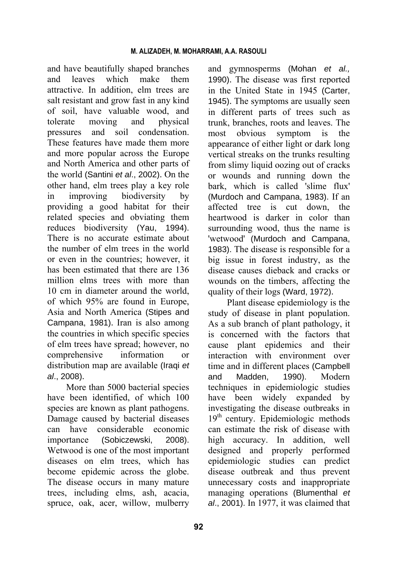and have beautifully shaped branches and leaves which make them attractive. In addition, elm trees are salt resistant and grow fast in any kind of soil, have valuable wood, and tolerate moving and physical pressures and soil condensation. These features have made them more and more popular across the Europe and North America and other parts of the world (Santini *et al*., 2002). On the other hand, elm trees play a key role in improving biodiversity by providing a good habitat for their related species and obviating them reduces biodiversity (Yau, 1994). There is no accurate estimate about the number of elm trees in the world or even in the countries; however, it has been estimated that there are 136 million elms trees with more than 10 cm in diameter around the world, of which 95% are found in Europe, Asia and North America (Stipes and Campana, 1981). Iran is also among the countries in which specific species of elm trees have spread; however, no comprehensive information or distribution map are available (Iraqi *et al*., 2008).

More than 5000 bacterial species have been identified, of which 100 species are known as plant pathogens. Damage caused by bacterial diseases can have considerable economic importance (Sobiczewski, 2008). Wetwood is one of the most important diseases on elm trees, which has become epidemic across the globe. The disease occurs in many mature trees, including elms, ash, acacia, spruce, oak, acer, willow, mulberry

and gymnosperms (Mohan *et al.,* 1990). The disease was first reported in the United State in 1945 (Carter, 1945). The symptoms are usually seen in different parts of trees such as trunk, branches, roots and leaves. The most obvious symptom is the appearance of either light or dark long vertical streaks on the trunks resulting from slimy liquid oozing out of cracks or wounds and running down the bark, which is called 'slime flux' (Murdoch and Campana, 1983). If an affected tree is cut down, the heartwood is darker in color than surrounding wood, thus the name is 'wetwood' (Murdoch and Campana, 1983). The disease is responsible for a big issue in forest industry, as the disease causes dieback and cracks or wounds on the timbers, affecting the quality of their logs (Ward, 1972).

Plant disease epidemiology is the study of disease in plant population. As a sub branch of plant pathology, it is concerned with the factors that cause plant epidemics and their interaction with environment over time and in different places (Campbell and Madden, 1990). Modern techniques in epidemiologic studies have been widely expanded by investigating the disease outbreaks in  $19<sup>th</sup>$  century. Epidemiologic methods can estimate the risk of disease with high accuracy. In addition, well designed and properly performed epidemiologic studies can predict disease outbreak and thus prevent unnecessary costs and inappropriate managing operations (Blumenthal *et al*., 2001). In 1977, it was claimed that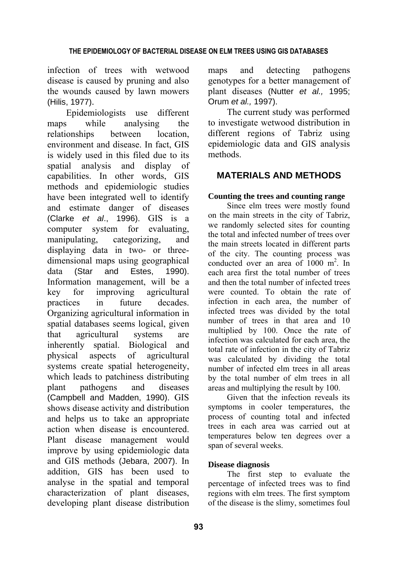infection of trees with wetwood disease is caused by pruning and also the wounds caused by lawn mowers (Hilis, 1977).

Epidemiologists use different maps while analysing the relationships between location, environment and disease. In fact, GIS is widely used in this filed due to its spatial analysis and display of capabilities. In other words, GIS methods and epidemiologic studies have been integrated well to identify and estimate danger of diseases (Clarke *et al*., 1996). GIS is a computer system for evaluating, manipulating, categorizing, and displaying data in two- or threedimensional maps using geographical data (Star and Estes, 1990). Information management, will be a key for improving agricultural practices in future decades. Organizing agricultural information in spatial databases seems logical, given that agricultural systems are inherently spatial. Biological and physical aspects of agricultural systems create spatial heterogeneity, which leads to patchiness distributing plant pathogens and diseases (Campbell and Madden, 1990). GIS shows disease activity and distribution and helps us to take an appropriate action when disease is encountered. Plant disease management would improve by using epidemiologic data and GIS methods (Jebara, 2007). In addition, GIS has been used to analyse in the spatial and temporal characterization of plant diseases, developing plant disease distribution

maps and detecting pathogens genotypes for a better management of plant diseases (Nutter *et al.,* 1995; Orum *et al.,* 1997).

The current study was performed to investigate wetwood distribution in different regions of Tabriz using epidemiologic data and GIS analysis methods.

## **MATERIALS AND METHODS**

## **Counting the trees and counting range**

Since elm trees were mostly found on the main streets in the city of Tabriz, we randomly selected sites for counting the total and infected number of trees over the main streets located in different parts of the city. The counting process was conducted over an area of 1000 m<sup>2</sup>. In each area first the total number of trees and then the total number of infected trees were counted. To obtain the rate of infection in each area, the number of infected trees was divided by the total number of trees in that area and 10 multiplied by 100. Once the rate of infection was calculated for each area, the total rate of infection in the city of Tabriz was calculated by dividing the total number of infected elm trees in all areas by the total number of elm trees in all areas and multiplying the result by 100.

Given that the infection reveals its symptoms in cooler temperatures, the process of counting total and infected trees in each area was carried out at temperatures below ten degrees over a span of several weeks.

## **Disease diagnosis**

The first step to evaluate the percentage of infected trees was to find regions with elm trees. The first symptom of the disease is the slimy, sometimes foul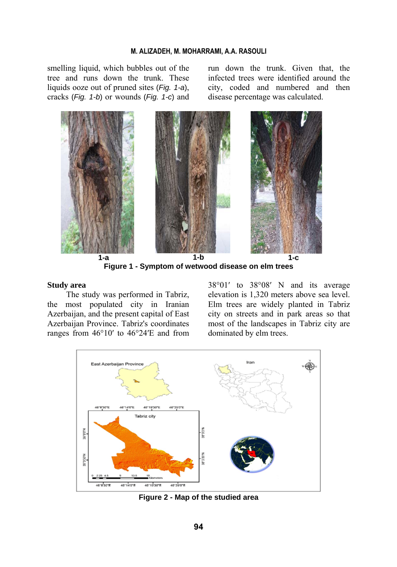#### **M. ALIZADEH, M. MOHARRAMI, A.A. RASOULI**

smelling liquid, which bubbles out of the tree and runs down the trunk. These liquids ooze out of pruned sites (*Fig. 1-a*), cracks (*Fig. 1-b*) or wounds (*Fig. 1-c*) and run down the trunk. Given that, the infected trees were identified around the city, coded and numbered and then disease percentage was calculated.



**Figure 1 - Symptom of wetwood disease on elm trees** 

#### **Study area**

The study was performed in Tabriz, the most populated city in Iranian Azerbaijan, and the present capital of East Azerbaijan Province. Tabriz's coordinates ranges from 46°10′ to 46°24′E and from 38°01′ to 38°08′ N and its average elevation is 1,320 meters above sea level. Elm trees are widely planted in Tabriz city on streets and in park areas so that most of the landscapes in Tabriz city are dominated by elm trees.



**Figure 2 - Map of the studied area**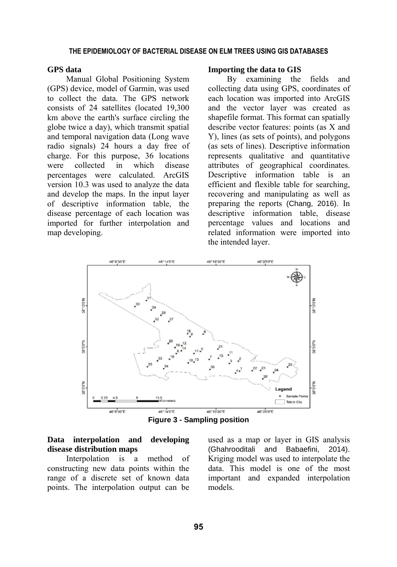### **GPS data**

Manual Global Positioning System (GPS) device, model of Garmin, was used to collect the data. The GPS network consists of 24 satellites (located 19,300 km above the earth's surface circling the globe twice a day), which transmit spatial and temporal navigation data (Long wave radio signals) 24 hours a day free of charge. For this purpose, 36 locations were collected in which disease percentages were calculated. ArcGIS version 10.3 was used to analyze the data and develop the maps. In the input layer of descriptive information table, the disease percentage of each location was imported for further interpolation and map developing.

#### **Importing the data to GIS**

By examining the fields and collecting data using GPS, coordinates of each location was imported into ArcGIS and the vector layer was created as shapefile format. This format can spatially describe vector features: points (as X and Y), lines (as sets of points), and polygons (as sets of lines). Descriptive information represents qualitative and quantitative attributes of geographical coordinates. Descriptive information table is an efficient and flexible table for searching, recovering and manipulating as well as preparing the reports (Chang, 2016). In descriptive information table, disease percentage values and locations and related information were imported into the intended layer.



**Figure 3 - Sampling position** 

### **Data interpolation and developing disease distribution maps**

Interpolation is a method of constructing new data points within the range of a discrete set of known data points. The interpolation output can be

used as a map or layer in GIS analysis (Ghahrooditali and Babaefini, 2014). Kriging model was used to interpolate the data. This model is one of the most important and expanded interpolation models.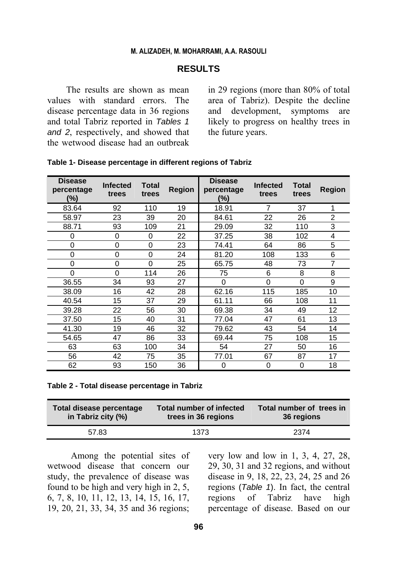#### **M. ALIZADEH, M. MOHARRAMI, A.A. RASOULI**

### **RESULTS**

The results are shown as mean values with standard errors. The disease percentage data in 36 regions and total Tabriz reported in *Tables 1 and 2*, respectively, and showed that the wetwood disease had an outbreak in 29 regions (more than 80% of total area of Tabriz). Despite the decline and development, symptoms are likely to progress on healthy trees in the future years.

| <b>Disease</b><br>percentage<br>(%) | <b>Infected</b><br>trees | Total<br>trees | <b>Region</b> | <b>Disease</b><br>percentage<br>(%) | <b>Infected</b><br>trees | Total<br>trees | Region         |
|-------------------------------------|--------------------------|----------------|---------------|-------------------------------------|--------------------------|----------------|----------------|
| 83.64                               | 92                       | 110            | 19            | 18.91                               | 7                        | 37             | 1              |
| 58.97                               | 23                       | 39             | 20            | 84.61                               | 22                       | 26             | $\overline{2}$ |
| 88.71                               | 93                       | 109            | 21            | 29.09                               | 32                       | 110            | 3              |
| 0                                   | $\Omega$                 | 0              | 22            | 37.25                               | 38                       | 102            | 4              |
| 0                                   | 0                        | 0              | 23            | 74.41                               | 64                       | 86             | 5              |
| 0                                   | $\Omega$                 | $\Omega$       | 24            | 81.20                               | 108                      | 133            | 6              |
| 0                                   | $\Omega$                 | $\Omega$       | 25            | 65.75                               | 48                       | 73             | $\overline{7}$ |
| 0                                   | $\Omega$                 | 114            | 26            | 75                                  | 6                        | 8              | 8              |
| 36.55                               | 34                       | 93             | 27            | $\Omega$                            | $\Omega$                 | $\Omega$       | 9              |
| 38.09                               | 16                       | 42             | 28            | 62.16                               | 115                      | 185            | 10             |
| 40.54                               | 15                       | 37             | 29            | 61.11                               | 66                       | 108            | 11             |
| 39.28                               | 22                       | 56             | 30            | 69.38                               | 34                       | 49             | 12             |
| 37.50                               | 15                       | 40             | 31            | 77.04                               | 47                       | 61             | 13             |
| 41.30                               | 19                       | 46             | 32            | 79.62                               | 43                       | 54             | 14             |
| 54.65                               | 47                       | 86             | 33            | 69.44                               | 75                       | 108            | 15             |
| 63                                  | 63                       | 100            | 34            | 54                                  | 27                       | 50             | 16             |
| 56                                  | 42                       | 75             | 35            | 77.01                               | 67                       | 87             | 17             |
| 62                                  | 93                       | 150            | 36            | 0                                   | 0                        | 0              | 18             |

| Table 1- Disease percentage in different regions of Tabriz |  |  |  |  |
|------------------------------------------------------------|--|--|--|--|
|------------------------------------------------------------|--|--|--|--|

**Table 2 - Total disease percentage in Tabriz** 

| Total disease percentage | <b>Total number of infected</b> | Total number of trees in |
|--------------------------|---------------------------------|--------------------------|
| in Tabriz city (%)       | trees in 36 regions             | 36 regions               |
| 57.83                    | 1373                            | 2374                     |

Among the potential sites of wetwood disease that concern our study, the prevalence of disease was found to be high and very high in 2, 5, 6, 7, 8, 10, 11, 12, 13, 14, 15, 16, 17, 19, 20, 21, 33, 34, 35 and 36 regions;

very low and low in 1, 3, 4, 27, 28, 29, 30, 31 and 32 regions, and without disease in 9, 18, 22, 23, 24, 25 and 26 regions (*Table 1*). In fact, the central regions of Tabriz have high percentage of disease. Based on our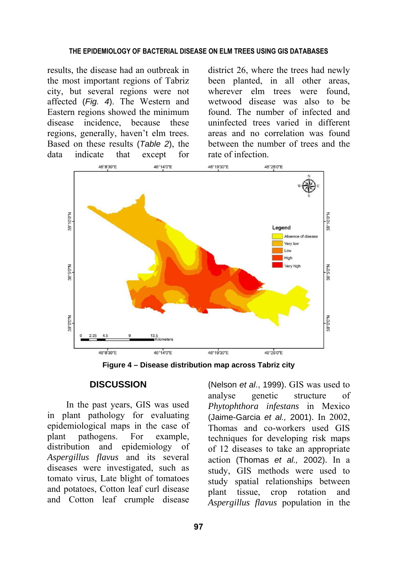results, the disease had an outbreak in the most important regions of Tabriz city, but several regions were not affected (*Fig. 4*). The Western and Eastern regions showed the minimum disease incidence, because these regions, generally, haven't elm trees. Based on these results (*Table 2*), the data indicate that except for

district 26, where the trees had newly been planted, in all other areas, wherever elm trees were found, wetwood disease was also to be found. The number of infected and uninfected trees varied in different areas and no correlation was found between the number of trees and the rate of infection.



**Figure 4 – Disease distribution map across Tabriz city** 

### **DISCUSSION**

In the past years, GIS was used in plant pathology for evaluating epidemiological maps in the case of plant pathogens. For example, distribution and epidemiology of *Aspergillus flavus* and its several diseases were investigated, such as tomato virus, Late blight of tomatoes and potatoes, Cotton leaf curl disease and Cotton leaf crumple disease

(Nelson *et al*., 1999). GIS was used to analyse genetic structure of *Phytophthora infestans* in Mexico (Jaime-Garcia *et al.,* 2001). In 2002, Thomas and co-workers used GIS techniques for developing risk maps of 12 diseases to take an appropriate action (Thomas *et al.,* 2002). In a study, GIS methods were used to study spatial relationships between plant tissue, crop rotation and *Aspergillus flavus* population in the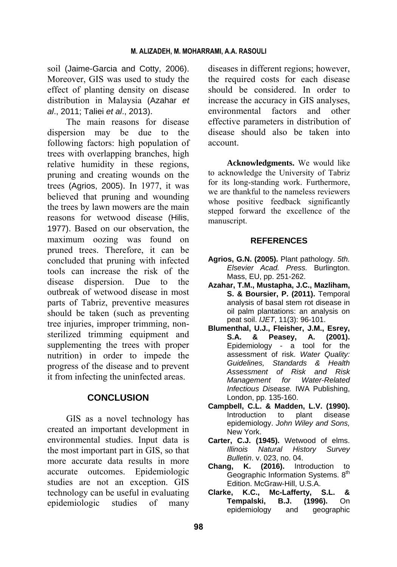soil (Jaime-Garcia and Cotty, 2006). Moreover, GIS was used to study the effect of planting density on disease distribution in Malaysia (Azahar *et al*., 2011; Taliei *et al*., 2013).

The main reasons for disease dispersion may be due to the following factors: high population of trees with overlapping branches, high relative humidity in these regions, pruning and creating wounds on the trees (Agrios, 2005). In 1977, it was believed that pruning and wounding the trees by lawn mowers are the main reasons for wetwood disease (Hilis, 1977). Based on our observation, the maximum oozing was found on pruned trees. Therefore, it can be concluded that pruning with infected tools can increase the risk of the disease dispersion. Due to the outbreak of wetwood disease in most parts of Tabriz, preventive measures should be taken (such as preventing tree injuries, improper trimming, nonsterilized trimming equipment and supplementing the trees with proper nutrition) in order to impede the progress of the disease and to prevent it from infecting the uninfected areas.

## **CONCLUSION**

GIS as a novel technology has created an important development in environmental studies. Input data is the most important part in GIS, so that more accurate data results in more accurate outcomes. Epidemiologic studies are not an exception. GIS technology can be useful in evaluating epidemiologic studies of many diseases in different regions; however, the required costs for each disease should be considered. In order to increase the accuracy in GIS analyses, environmental factors and other effective parameters in distribution of disease should also be taken into account.

**Acknowledgments.** We would like to acknowledge the University of Tabriz for its long-standing work. Furthermore, we are thankful to the nameless reviewers whose positive feedback significantly stepped forward the excellence of the manuscript.

## **REFERENCES**

- **Agrios, G.N. (2005).** Plant pathology. *5th. Elsevier Acad. Press.* Burlington. Mass, EU, pp. 251-262.
- **Azahar, T.M., Mustapha, J.C., Mazliham, S. & Boursier, P. (2011).** Temporal analysis of basal stem rot disease in oil palm plantations: an analysis on peat soil. *IJET*, 11(3): 96-101.
- **Blumenthal, U.J., Fleisher, J.M., Esrey, S.A. & Peasey, A.** Epidemiology - a tool for the assessment of risk. *Water Quality: Guidelines, Standards & Health Assessment of Risk and Risk Management for Water-Related Infectious Disease.* IWA Publishing, London, pp. 135-160.
- **Campbell, C.L. & Madden, L.V. (1990).**  Introduction to plant disease epidemiology. *John Wiley and Sons,* New York.
- **Carter, C.J. (1945).** Wetwood of elms. *Illinois Natural History Survey Bulletin*. v. 023, no. 04.
- **Chang, K. (2016).** Introduction to Geographic Information Systems. 8<sup>th</sup> Edition. McGraw-Hill, U.S.A.
- **Clarke, K.C., Mc-Lafferty, S.L. & Tempalski, B.J. (1996).** On epidemiology and geographic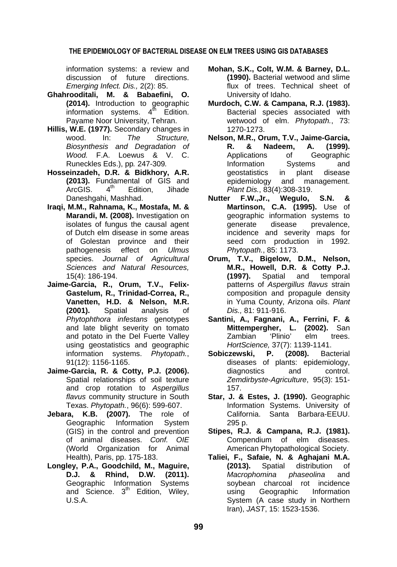information systems: a review and discussion of future directions. *Emerging Infect. Dis.,* 2(2): 85.

- **Ghahrooditali, M. & Babaefini, O. (2014).** Introduction to geographic information systems.  $4^{\text{th}}$  Edition. Payame Noor University, Tehran.
- **Hillis, W.E. (1977).** Secondary changes in wood. In: *The Structure, Biosynthesis and Degradation of Wood.* F.A. Loewus & V. C. Runeckles Eds.), pp*.* 247-309*.*
- **Hosseinzadeh, D.R. & Bidkhory, A.R. (2013).** Fundamental of GIS and<br>ArcGIS 4<sup>th</sup> Fdition Jihade ArcGIS. 4<sup>th</sup> Edition, Jihade Daneshgahi, Mashhad.
- **Iraqi, M.M., Rahnama, K., Mostafa, M. & Marandi, M. (2008).** Investigation on isolates of fungus the causal agent of Dutch elm disease in some areas of Golestan province and their pathogenesis effect on *Ulmus*  species. *Journal of Agricultural Sciences and Natural Resources,* 15(4): 186-194.
- **Jaime-Garcia, R., Orum, T.V., Felix-Gastelum, R., Trinidad-Correa, R., Vanetten, H.D. & Nelson, M.R. (2001).** Spatial analysis of *Phytophthora infestans* genotypes and late blight severity on tomato and potato in the Del Fuerte Valley using geostatistics and geographic information systems. *Phytopath.*, 91(12): 1156-1165.
- **Jaime-Garcia, R. & Cotty, P.J. (2006).**  Spatial relationships of soil texture and crop rotation to *Aspergillus flavus* community structure in South Texas. *Phytopath.*, 96(6): 599-607.
- **Jebara, K.B. (2007).** The role of Geographic Information System (GIS) in the control and prevention of animal diseases. *Conf. OIE* (World Organization for Animal Health), Paris, pp. 175-183.
- **Longley, P.A., Goodchild, M., Maguire, D.J. & Rhind, D.W. (2011).**  Geographic Information Systems and Science.  $3<sup>th</sup>$  Edition, Wiley, U.S.A.
- **Mohan, S.K., Colt, W.M. & Barney, D.L. (1990).** Bacterial wetwood and slime flux of trees. Technical sheet of University of Idaho.
- **Murdoch, C.W. & Campana, R.J. (1983).**  Bacterial species associated with wetwood of elm. *Phytopath.*, 73: 1270-1273.
- **Nelson, M.R., Orum, T.V., Jaime-Garcia, R. & Nadeem, A. (1999).**  Applications of Geographic Information Systems and geostatistics in plant disease epidemiology and management. *Plant Dis.*, 83(4):308-319.
- **Nutter F.W.,Jr., Wegulo, S.N. & Martinson, C.A. (1995).** Use of geographic information systems to generate disease prevalence, incidence and severity maps for seed corn production in 1992. *Phytopath.*, 85: 1173.
- **Orum, T.V., Bigelow, D.M., Nelson, M.R., Howell, D.R. & Cotty P.J. (1997).** Spatial and temporal patterns of *Aspergillus flavus* strain composition and propagule density in Yuma County, Arizona oils. *Plant Dis.,* 81: 911-916.
- **Santini, A., Fagnani, A., Ferrini, F. & Mittempergher, L. (2002).** San Zambian 'Plinio' elm trees. *HortScience,* 37(7): 1139-1141.
- Sobiczewski, P. (2008). Bacterial diseases of plants: epidemiology, diagnostics and control. *Zemdirbyste*-*Agriculture*, 95(3): 151- 157.
- **Star, J. & Estes, J. (1990).** Geographic Information Systems. University of California. Santa Barbara-EEUU. 295 p.
- **Stipes, R.J. & Campana, R.J. (1981).**  Compendium of elm diseases. American Phytopathological Society.
- **Taliei, F., Safaie, N. & Aghajani M.A. (2013).** Spatial distribution of *Macrophomina phaseolina* and soybean charcoal rot incidence using Geographic Information System (A case study in Northern Iran), *JAST*, 15: 1523-1536.